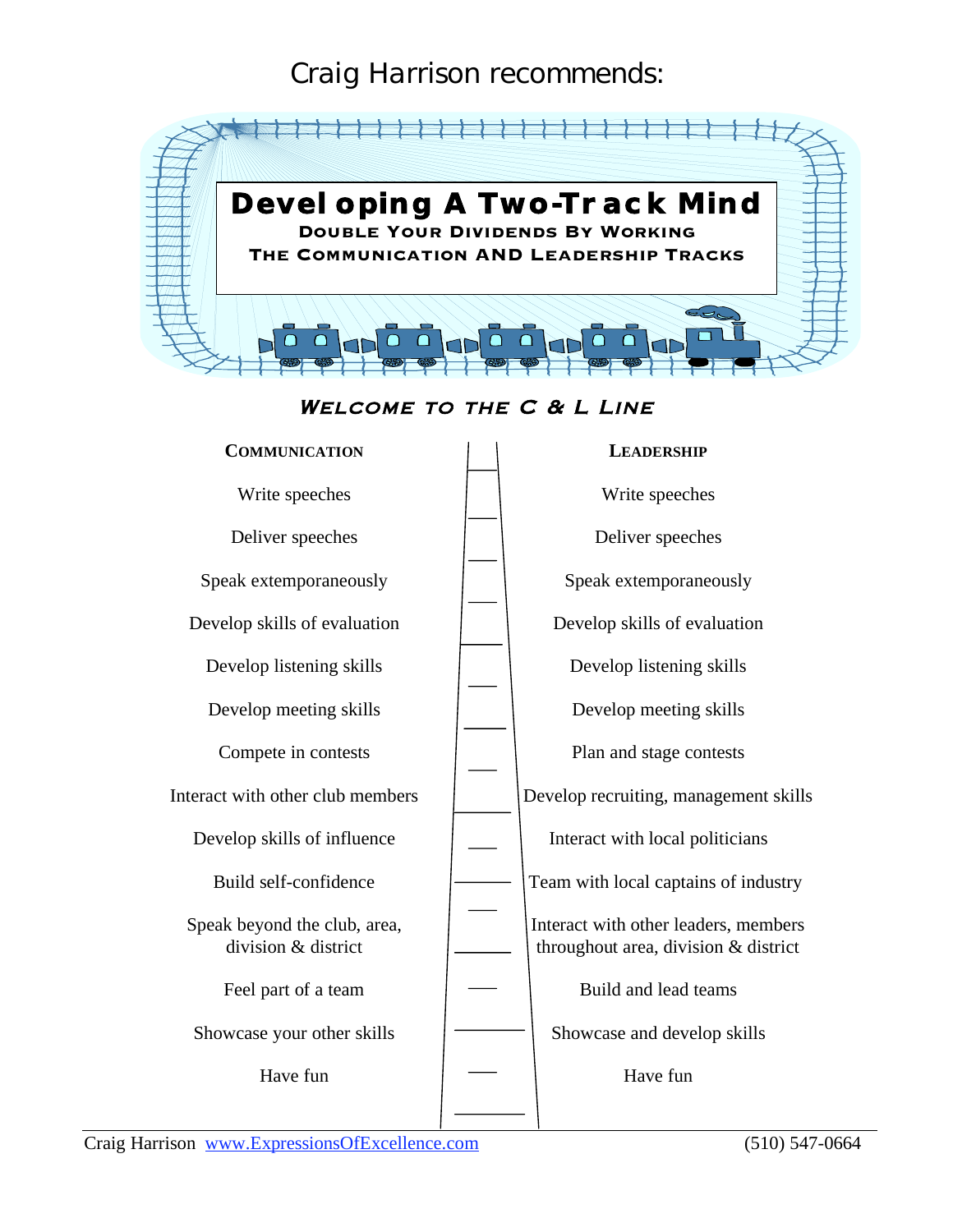### Craig Harrison recommends:



#### WELCOME TO THE C & L LINE

| <b>COMMUNICATION</b>                                | <b>LEADERSHIP</b>                                                            |  |  |
|-----------------------------------------------------|------------------------------------------------------------------------------|--|--|
| Write speeches                                      | Write speeches                                                               |  |  |
| Deliver speeches                                    | Deliver speeches                                                             |  |  |
| Speak extemporaneously                              | Speak extemporaneously                                                       |  |  |
| Develop skills of evaluation                        | Develop skills of evaluation                                                 |  |  |
| Develop listening skills                            | Develop listening skills                                                     |  |  |
| Develop meeting skills                              | Develop meeting skills                                                       |  |  |
| Compete in contests                                 | Plan and stage contests                                                      |  |  |
| Interact with other club members                    | Develop recruiting, management skills                                        |  |  |
| Develop skills of influence                         | Interact with local politicians                                              |  |  |
| Build self-confidence                               | Team with local captains of industry                                         |  |  |
| Speak beyond the club, area,<br>division & district | Interact with other leaders, members<br>throughout area, division & district |  |  |
| Feel part of a team                                 | Build and lead teams                                                         |  |  |
| Showcase your other skills                          | Showcase and develop skills                                                  |  |  |
| Have fun                                            | Have fun                                                                     |  |  |
|                                                     |                                                                              |  |  |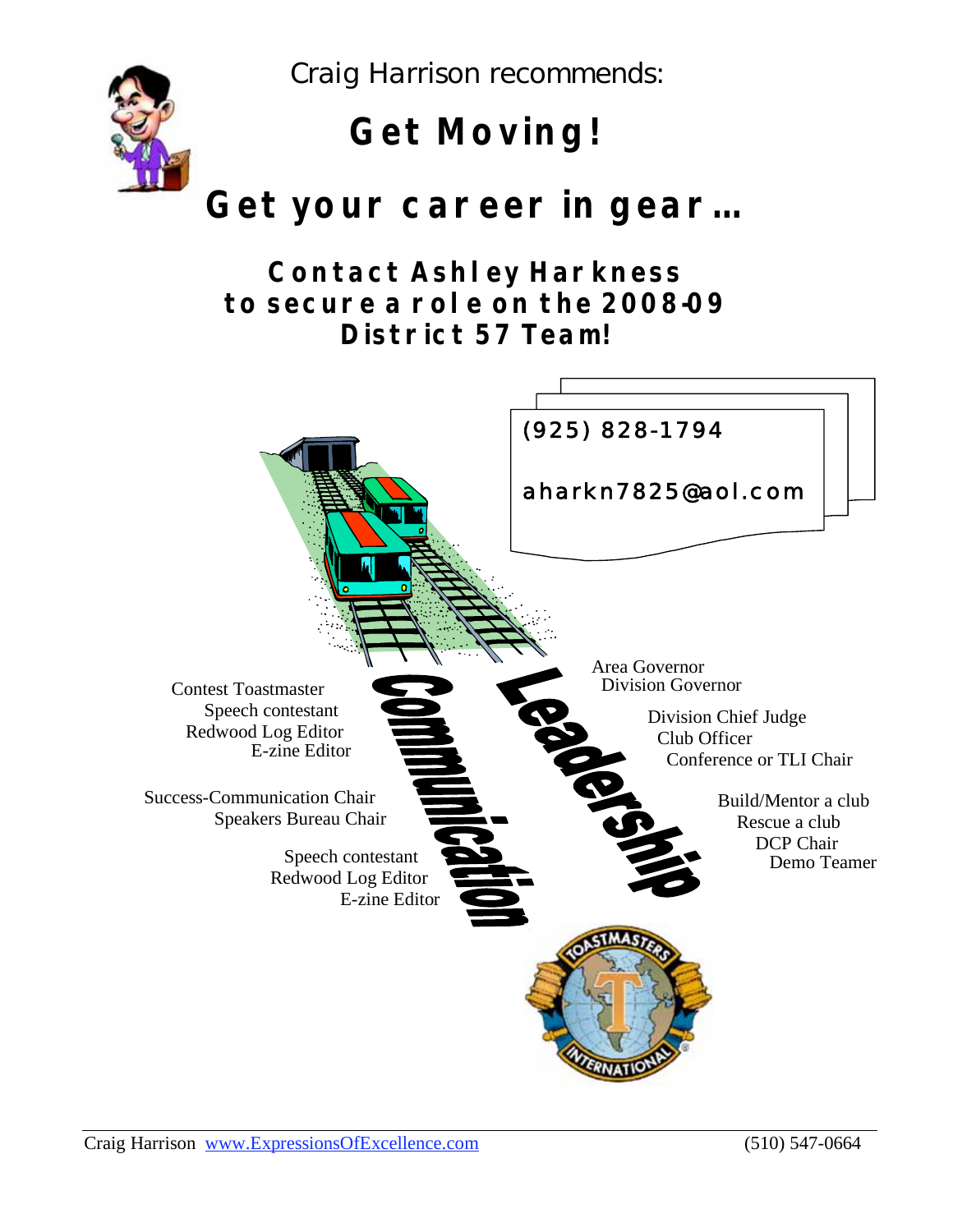Craig Harrison recommends:



# **Get Moving!**

## **Get your career in gear…**

### **Contact Ashley Harkness to secure a role on the 2008-09 District 57 Team!**

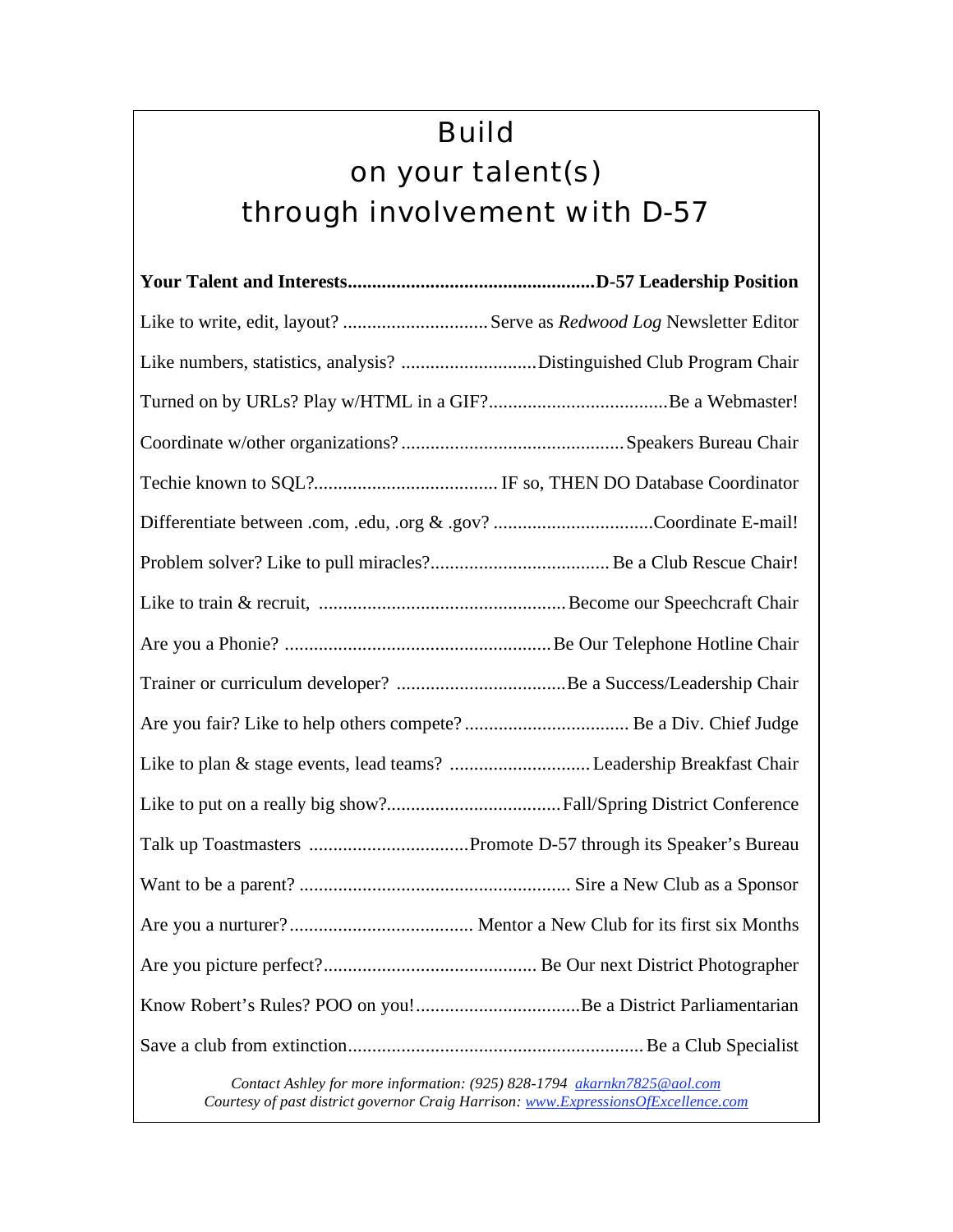## Build on your talent(s) through involvement with D-57

| Like to write, edit, layout? Serve as Redwood Log Newsletter Editor  |
|----------------------------------------------------------------------|
| Like numbers, statistics, analysis? Distinguished Club Program Chair |
|                                                                      |
|                                                                      |
|                                                                      |
| Differentiate between .com, .edu, .org & .gov? Coordinate E-mail!    |
|                                                                      |
|                                                                      |
|                                                                      |
|                                                                      |
|                                                                      |
|                                                                      |
|                                                                      |
|                                                                      |
|                                                                      |
|                                                                      |
|                                                                      |
|                                                                      |
|                                                                      |

*Contact Ashley for more information: (925) 828-1794 akarnkn7825@aol.com Courtesy of past district governor Craig Harrison: www.ExpressionsOfExcellence.com*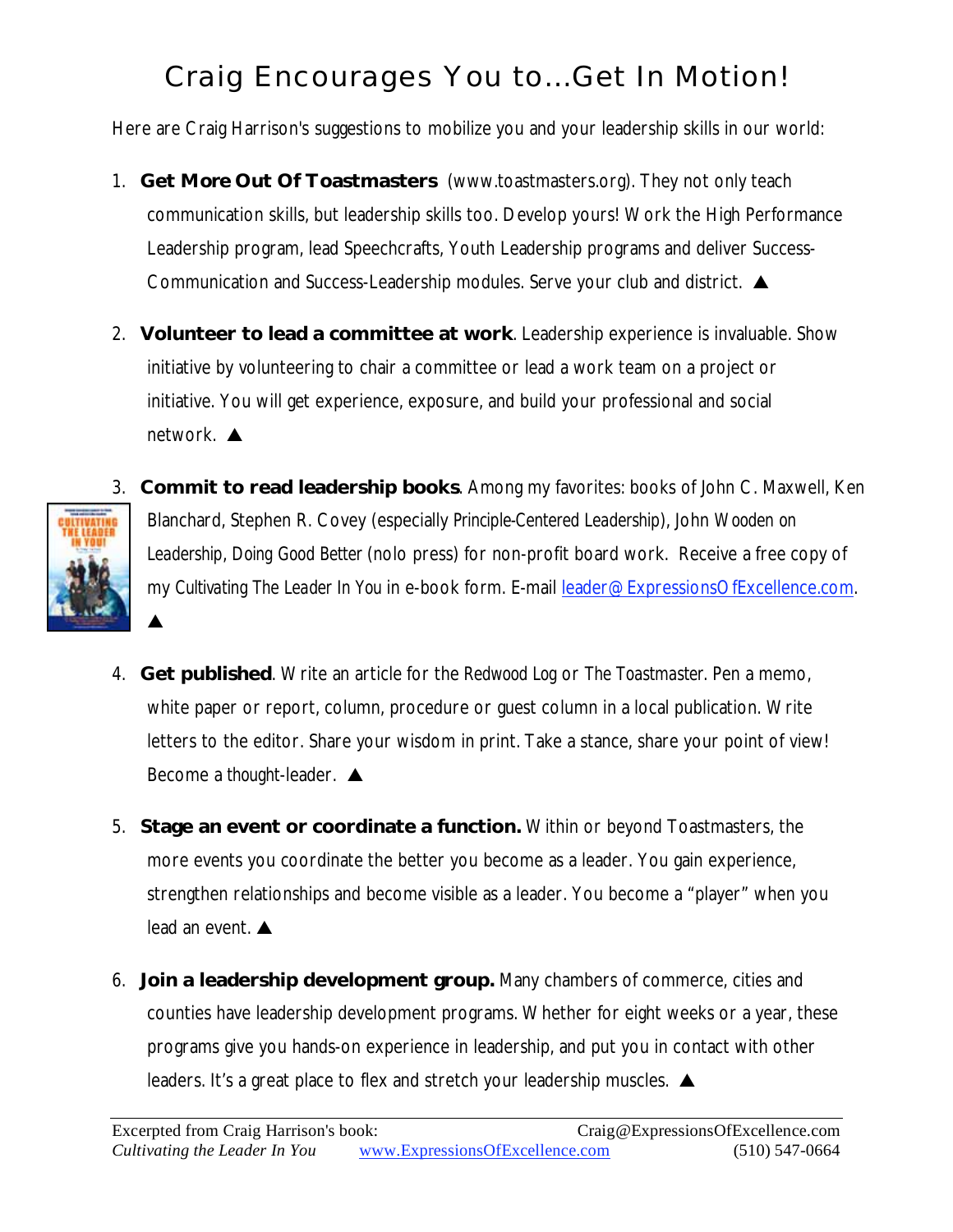## Craig Encourages You to…Get In Motion!

Here are Craig Harrison's suggestions to mobilize you and your leadership skills in our world:

- 1. **Get** *More* **Out Of Toastmasters** (www.toastmasters.org). They not only teach communication skills, but leadership skills too. Develop yours! Work the High Performance Leadership program, lead Speechcrafts, Youth Leadership programs and deliver Success-Communication and Success-Leadership modules. Serve your club and district.  $\triangle$
- 2. **Volunteer to lead a committee at work**. Leadership experience is invaluable. Show initiative by volunteering to chair a committee or lead a work team on a project or initiative. You will get experience, exposure, and build your professional and social network. **▲**



▲

3. **Commit to read leadership books**. Among my favorites: books of John C. Maxwell, Ken Blanchard, Stephen R. Covey (especially *Principle-Centered Leadership*), John *Wooden on Leadership*, *Doing Good Better* (nolo press) for non-profit board work. Receive a free copy of my *Cultivating The Leader In You* in e-book form. E-mail leader@ExpressionsOfExcellence.com.

- 4. **Get published**. Write an article for the *Redwood Log* or *The Toastmaster*. Pen a memo, white paper or report, column, procedure or guest column in a local publication. Write letters to the editor. Share your wisdom in print. Take a stance, share your point of view! Become a *thought*-leader.
- 5. **Stage an event or coordinate a function.** Within or beyond Toastmasters, the more events you coordinate the better you become as a leader. You gain experience, strengthen relationships and become visible as a leader. You become a "player" when you lead an event.
- 6. **Join a leadership development group.** Many chambers of commerce, cities and counties have leadership development programs. Whether for eight weeks or a year, these programs give you hands-on experience in leadership, and put you in contact with other leaders. It's a great place to flex and stretch your leadership muscles.  $\triangle$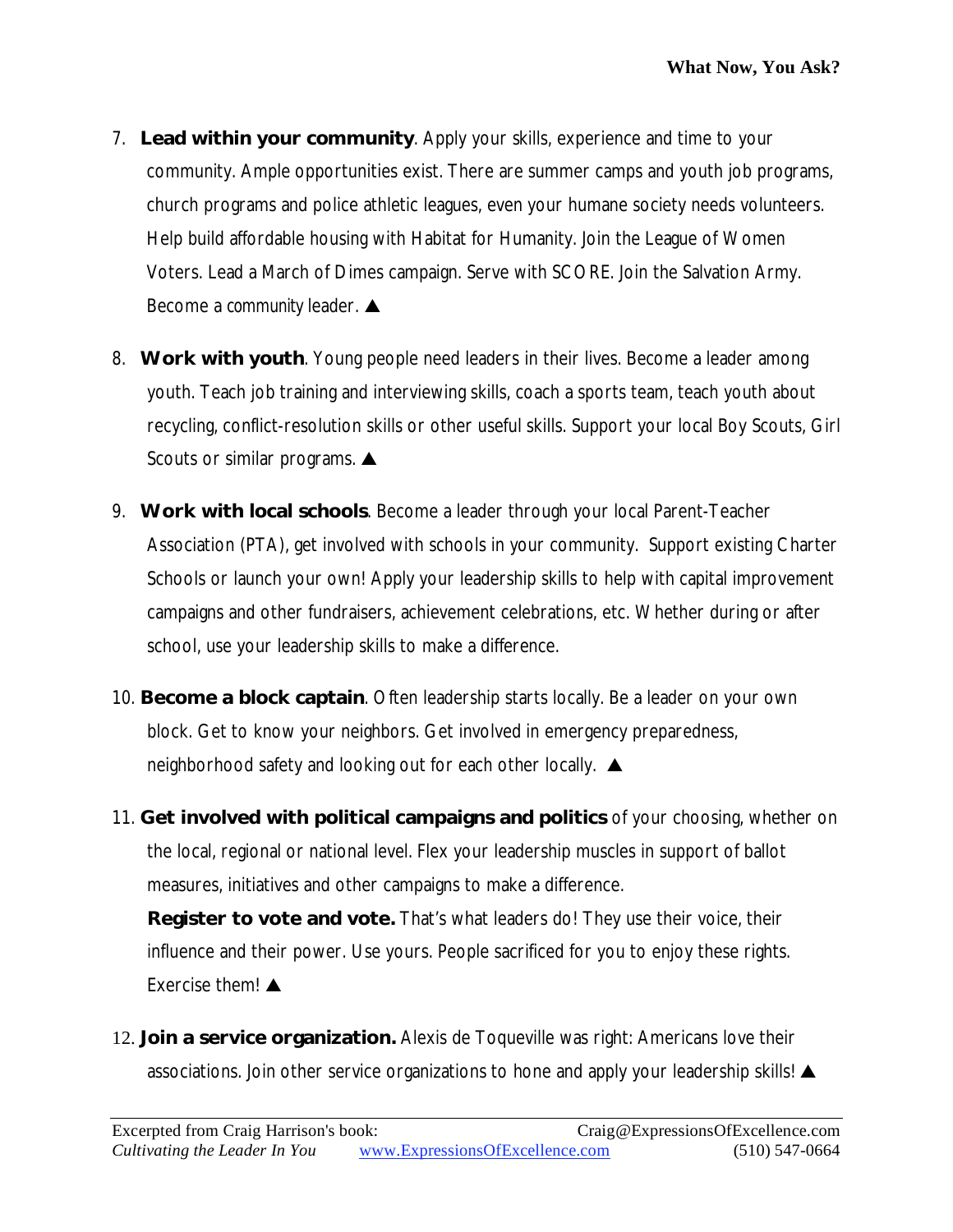- 7. **Lead within your community**. Apply your skills, experience and time to your community. Ample opportunities exist. There are summer camps and youth job programs, church programs and police athletic leagues, even your humane society needs volunteers. Help build affordable housing with Habitat for Humanity. Join the League of Women Voters. Lead a March of Dimes campaign. Serve with SCORE. Join the Salvation Army. Become a *community* leader.
- 8. **Work with youth**. Young people need leaders in their lives. Become a leader among youth. Teach job training and interviewing skills, coach a sports team, teach youth about recycling, conflict-resolution skills or other useful skills. Support your local Boy Scouts, Girl Scouts or similar programs.  $\triangle$
- 9. **Work with local schools**. Become a leader through your local Parent-Teacher Association (PTA), get involved with schools in your community. Support existing Charter Schools or launch your own! Apply your leadership skills to help with capital improvement campaigns and other fundraisers, achievement celebrations, etc. Whether during or after school, use your leadership skills to make a difference.
- 10. **Become a block captain**. Often leadership starts locally. Be a leader on your own block. Get to know your neighbors. Get involved in emergency preparedness, neighborhood safety and looking out for each other locally.  $\triangle$
- 11. **Get involved with political campaigns and politics** of your choosing, whether on the local, regional or national level. Flex your leadership muscles in support of ballot measures, initiatives and other campaigns to make a difference.

**Register to vote and vote.** That's what leaders do! They use their voice, their influence and their power. Use yours. People sacrificed for you to enjoy these rights. Exercise them!  $\triangle$ 

12. **Join a service organization.** Alexis de Toqueville was right: Americans love their associations. Join other service organizations to hone and apply your leadership skills!